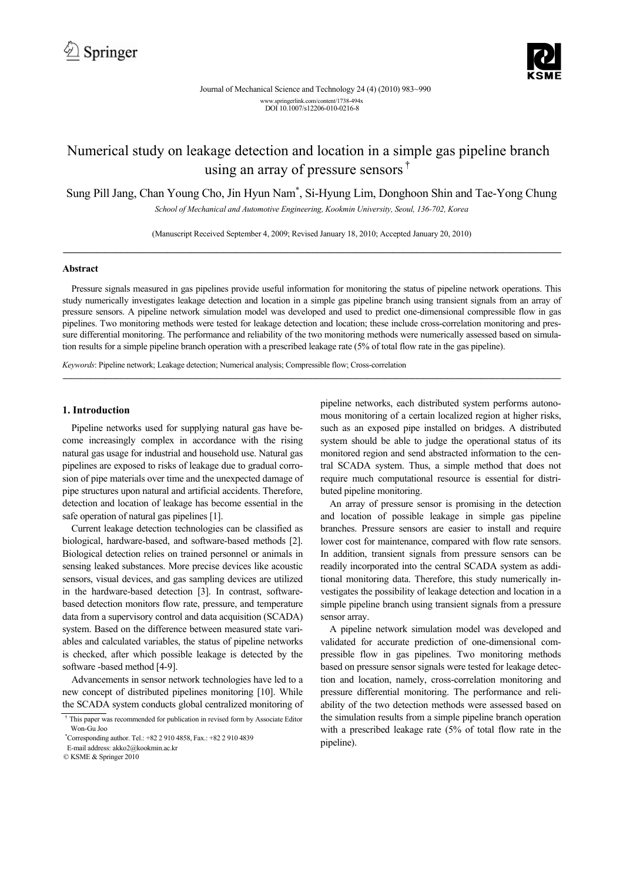

# Numerical study on leakage detection and location in a simple gas pipeline branch using an array of pressure sensors<sup>†</sup>

Sung Pill Jang, Chan Young Cho, Jin Hyun Nam\* , Si-Hyung Lim, Donghoon Shin and Tae-Yong Chung

*School of Mechanical and Automotive Engineering, Kookmin University, Seoul, 136-702, Korea* 

(Manuscript Received September 4, 2009; Revised January 18, 2010; Accepted January 20, 2010) ----------------------------------------------------------------------------------------------------------------------------------------------------------------------------------------------------------------------------------------------------------------------------------------------

## **Abstract**

Pressure signals measured in gas pipelines provide useful information for monitoring the status of pipeline network operations. This study numerically investigates leakage detection and location in a simple gas pipeline branch using transient signals from an array of pressure sensors. A pipeline network simulation model was developed and used to predict one-dimensional compressible flow in gas pipelines. Two monitoring methods were tested for leakage detection and location; these include cross-correlation monitoring and pressure differential monitoring. The performance and reliability of the two monitoring methods were numerically assessed based on simulation results for a simple pipeline branch operation with a prescribed leakage rate (5% of total flow rate in the gas pipeline).

*----------------------------------------------------------------------------------------------------------------------------------------------------------------------------------------------------------------------------------------------------------------------------------------------*

*Keywords*: Pipeline network; Leakage detection; Numerical analysis; Compressible flow; Cross-correlation

## **1. Introduction**

Pipeline networks used for supplying natural gas have become increasingly complex in accordance with the rising natural gas usage for industrial and household use. Natural gas pipelines are exposed to risks of leakage due to gradual corrosion of pipe materials over time and the unexpected damage of pipe structures upon natural and artificial accidents. Therefore, detection and location of leakage has become essential in the safe operation of natural gas pipelines [1].

Current leakage detection technologies can be classified as biological, hardware-based, and software-based methods [2]. Biological detection relies on trained personnel or animals in sensing leaked substances. More precise devices like acoustic sensors, visual devices, and gas sampling devices are utilized in the hardware-based detection [3]. In contrast, softwarebased detection monitors flow rate, pressure, and temperature data from a supervisory control and data acquisition (SCADA) system. Based on the difference between measured state variables and calculated variables, the status of pipeline networks is checked, after which possible leakage is detected by the software -based method [4-9].

Advancements in sensor network technologies have led to a new concept of distributed pipelines monitoring [10]. While the SCADA system conducts global centralized monitoring of pipeline networks, each distributed system performs autonomous monitoring of a certain localized region at higher risks, such as an exposed pipe installed on bridges. A distributed system should be able to judge the operational status of its monitored region and send abstracted information to the central SCADA system. Thus, a simple method that does not require much computational resource is essential for distributed pipeline monitoring.

An array of pressure sensor is promising in the detection and location of possible leakage in simple gas pipeline branches. Pressure sensors are easier to install and require lower cost for maintenance, compared with flow rate sensors. In addition, transient signals from pressure sensors can be readily incorporated into the central SCADA system as additional monitoring data. Therefore, this study numerically investigates the possibility of leakage detection and location in a simple pipeline branch using transient signals from a pressure sensor array.

A pipeline network simulation model was developed and validated for accurate prediction of one-dimensional compressible flow in gas pipelines. Two monitoring methods based on pressure sensor signals were tested for leakage detection and location, namely, cross-correlation monitoring and pressure differential monitoring. The performance and reliability of the two detection methods were assessed based on the simulation results from a simple pipeline branch operation with a prescribed leakage rate (5% of total flow rate in the pipeline).

<sup>†</sup> This paper was recommended for publication in revised form by Associate Editor Won-Gu Joo

<sup>\*</sup> Corresponding author. Tel.: +82 2 910 4858, Fax.: +82 2 910 4839

E-mail address: akko2@kookmin.ac.kr

<sup>©</sup> KSME & Springer 2010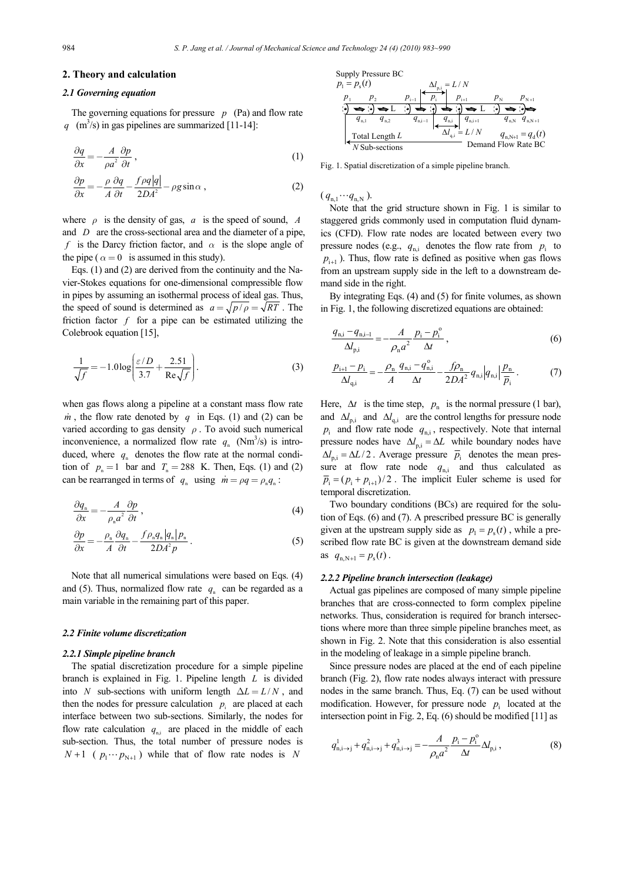## **2. Theory and calculation**

#### *2.1 Governing equation*

The governing equations for pressure  $p$  (Pa) and flow rate  $q \text{ (m}^3\text{/s})$  in gas pipelines are summarized [11-14]:

$$
\frac{\partial q}{\partial x} = -\frac{A}{\rho a^2} \frac{\partial p}{\partial t},\tag{1}
$$

$$
\frac{\partial p}{\partial x} = -\frac{\rho}{A} \frac{\partial q}{\partial t} - \frac{f\rho q|q|}{2DA^2} - \rho g \sin \alpha , \qquad (2)
$$

where  $\rho$  is the density of gas,  $a$  is the speed of sound,  $A$ and *D* are the cross-sectional area and the diameter of a pipe, *f* is the Darcy friction factor, and *α* is the slope angle of the pipe ( $\alpha = 0$  is assumed in this study).

Eqs. (1) and (2) are derived from the continuity and the Navier-Stokes equations for one-dimensional compressible flow in pipes by assuming an isothermal process of ideal gas. Thus, the speed of sound is determined as  $a = \sqrt{p/\rho} = \sqrt{RT}$ . The friction factor  $f$  for a pipe can be estimated utilizing the Colebrook equation [15],

$$
\frac{1}{\sqrt{f}} = -1.0 \log \left( \frac{\varepsilon/D}{3.7} + \frac{2.51}{\text{Re}\sqrt{f}} \right). \tag{3}
$$

when gas flows along a pipeline at a constant mass flow rate  $\dot{m}$ , the flow rate denoted by *q* in Eqs. (1) and (2) can be varied according to gas density *ρ* . To avoid such numerical inconvenience, a normalized flow rate  $q_n$  (Nm<sup>3</sup>/s) is introduced, where  $q_{n}$  denotes the flow rate at the normal condition of  $p_n = 1$  bar and  $T_n = 288$  K. Then, Eqs. (1) and (2) can be rearranged in terms of  $q_n$  using  $\dot{m} = \rho q = \rho_n q_n$ :

$$
\frac{\partial q_{\rm n}}{\partial x} = -\frac{A}{\rho_{\rm n} a^2} \frac{\partial p}{\partial t},\tag{4}
$$

$$
\frac{\partial p}{\partial x} = -\frac{\rho_{\rm n}}{A} \frac{\partial q_{\rm n}}{\partial t} - \frac{f \rho_{\rm n} q_{\rm n} |q_{\rm n}| p_{\rm n}}{2DA^2 p} \,. \tag{5}
$$

Note that all numerical simulations were based on Eqs. (4) and (5). Thus, normalized flow rate  $q_n$  can be regarded as a main variable in the remaining part of this paper.

#### *2.2 Finite volume discretization*

#### *2.2.1 Simple pipeline branch*

The spatial discretization procedure for a simple pipeline branch is explained in Fig. 1. Pipeline length *L* is divided into *N* sub-sections with uniform length  $\Delta L = L/N$ , and then the nodes for pressure calculation  $p_i$  are placed at each interface between two sub-sections. Similarly, the nodes for flow rate calculation  $q_{\text{in}}$  are placed in the middle of each sub-section. Thus, the total number of pressure nodes is  $N+1$  (  $p_1 \cdots p_{N+1}$  ) while that of flow rate nodes is *N* 



Fig. 1. Spatial discretization of a simple pipeline branch.

 $(q_{n1} \cdots q_{nN}).$ 

Note that the grid structure shown in Fig. 1 is similar to staggered grids commonly used in computation fluid dynamics (CFD). Flow rate nodes are located between every two pressure nodes (e.g.,  $q_{ni}$  denotes the flow rate from  $p_i$  to  $p_{i+1}$ ). Thus, flow rate is defined as positive when gas flows from an upstream supply side in the left to a downstream demand side in the right.

By integrating Eqs. (4) and (5) for finite volumes, as shown in Fig. 1, the following discretized equations are obtained:

$$
\frac{q_{n,i} - q_{n,i-1}}{\Delta l_{p,i}} = -\frac{A}{\rho_n a^2} \frac{p_i - p_i^{\circ}}{\Delta t},
$$
\n(6)

$$
\frac{p_{i+1} - p_i}{\Delta l_{q,i}} = -\frac{\rho_n}{A} \frac{q_{n,i} - q_{n,i}^{\circ}}{\Delta t} - \frac{f\rho_n}{2DA^2} q_{n,i} |q_{n,i}| \frac{p_n}{\overline{p}_i}.
$$
 (7)

Here,  $\Delta t$  is the time step,  $p_n$  is the normal pressure (1 bar), and  $\Delta l_{p,i}$  and  $\Delta l_{q,i}$  are the control lengths for pressure node  $p_i$  and flow rate node  $q_{n,i}$ , respectively. Note that internal pressure nodes have  $\Delta l_{p,i} = \Delta L$  while boundary nodes have  $\Delta l_{p,i} = \Delta L/2$ . Average pressure  $\bar{p}_i$  denotes the mean pressure at flow rate node  $q_{n,i}$  and thus calculated as  $\overline{p}_i = (p_i + p_{i+1})/2$ . The implicit Euler scheme is used for temporal discretization.

Two boundary conditions (BCs) are required for the solution of Eqs. (6) and (7). A prescribed pressure BC is generally given at the upstream supply side as  $p_1 = p_s(t)$ , while a prescribed flow rate BC is given at the downstream demand side as  $q_{n,N+1} = p_s(t)$ .

## *2.2.2 Pipeline branch intersection (leakage)*

Actual gas pipelines are composed of many simple pipeline branches that are cross-connected to form complex pipeline networks. Thus, consideration is required for branch intersections where more than three simple pipeline branches meet, as shown in Fig. 2. Note that this consideration is also essential in the modeling of leakage in a simple pipeline branch.

Since pressure nodes are placed at the end of each pipeline branch (Fig. 2), flow rate nodes always interact with pressure nodes in the same branch. Thus, Eq. (7) can be used without modification. However, for pressure node  $p_i$  located at the intersection point in Fig. 2, Eq. (6) should be modified [11] as

$$
q_{\rm n,i\to j}^1 + q_{\rm n,i\to j}^2 + q_{\rm n,i\to j}^3 = -\frac{A}{\rho_{\rm n} a^2} \frac{p_{\rm i} - p_{\rm i}^{\rm o}}{\Delta t} \Delta l_{\rm p,i} \,, \tag{8}
$$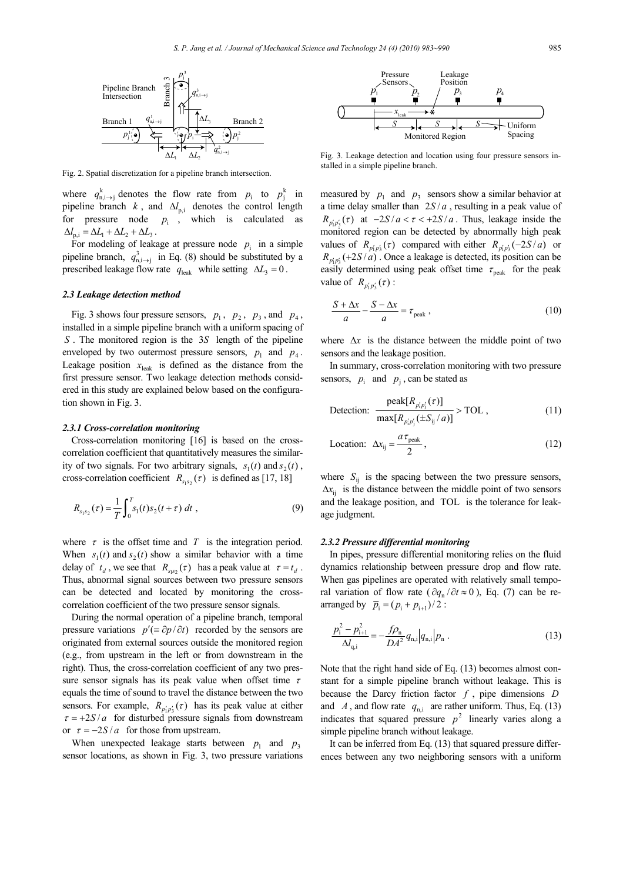

Fig. 2. Spatial discretization for a pipeline branch intersection.

where  $q_{n,i\rightarrow j}^k$  denotes the flow rate from  $p_i$  to  $p_j^k$  in pipeline branch *k*, and  $\Delta l_{p,i}$  denotes the control length for pressure node  $p_i$ , which is calculated as  $\Delta l_{\rm ni} = \Delta L_1 + \Delta L_2 + \Delta L_3$ .

For modeling of leakage at pressure node  $p_i$  in a simple pipeline branch,  $q_{n,i\rightarrow j}^3$  in Eq. (8) should be substituted by a prescribed leakage flow rate  $q_{\text{leak}}$  while setting  $\Delta L_3 = 0$ .

## *2.3 Leakage detection method*

Fig. 3 shows four pressure sensors,  $p_1$ ,  $p_2$ ,  $p_3$ , and  $p_4$ , installed in a simple pipeline branch with a uniform spacing of *S*. The monitored region is the 3*S* length of the pipeline enveloped by two outermost pressure sensors,  $p_1$  and  $p_4$ . Leakage position  $x_{\text{leak}}$  is defined as the distance from the first pressure sensor. Two leakage detection methods considered in this study are explained below based on the configuration shown in Fig. 3.

#### *2.3.1 Cross-correlation monitoring*

Cross-correlation monitoring [16] is based on the crosscorrelation coefficient that quantitatively measures the similarity of two signals. For two arbitrary signals,  $s_1(t)$  and  $s_2(t)$ , cross-correlation coefficient  $R_{s_1s_2}(\tau)$  is defined as [17, 18]

$$
R_{s_1s_2}(\tau) = \frac{1}{T} \int_0^T s_1(t) s_2(t+\tau) \, dt \tag{9}
$$

where  $\tau$  is the offset time and  $T$  is the integration period. When  $s_1(t)$  and  $s_2(t)$  show a similar behavior with a time delay of  $t_d$ , we see that  $R_{s_0s_0}(\tau)$  has a peak value at  $\tau = t_d$ . Thus, abnormal signal sources between two pressure sensors can be detected and located by monitoring the crosscorrelation coefficient of the two pressure sensor signals.

During the normal operation of a pipeline branch, temporal pressure variations  $p'(\equiv \partial p/\partial t)$  recorded by the sensors are originated from external sources outside the monitored region (e.g., from upstream in the left or from downstream in the right). Thus, the cross-correlation coefficient of any two pressure sensor signals has its peak value when offset time  $\tau$ equals the time of sound to travel the distance between the two sensors. For example,  $R_{p'_1p'_2}(\tau)$  has its peak value at either  $\tau = +2S/a$  for disturbed pressure signals from downstream or  $\tau = -2S/a$  for those from upstream.

When unexpected leakage starts between  $p_1$  and  $p_3$ sensor locations, as shown in Fig. 3, two pressure variations



Fig. 3. Leakage detection and location using four pressure sensors installed in a simple pipeline branch.

measured by  $p_1$  and  $p_3$  sensors show a similar behavior at a time delay smaller than  $2S/a$ , resulting in a peak value of  $R_{p'_1 p'_2}(\tau)$  at  $-2S/a < \tau < +2S/a$ . Thus, leakage inside the monitored region can be detected by abnormally high peak values of  $R_{p'_1p'_3}(\tau)$  compared with either  $R_{p'_1p'_3}(-2S/a)$  or  $R_{p'_1p'_3}(+2S/a)$ . Once a leakage is detected, its position can be easily determined using peak offset time  $\tau_{\text{peak}}$  for the peak value of  $R_{p'_1 p'_3}(\tau)$  :

$$
\frac{S + \Delta x}{a} - \frac{S - \Delta x}{a} = \tau_{\text{peak}} \,, \tag{10}
$$

where  $\Delta x$  is the distance between the middle point of two sensors and the leakage position.

In summary, cross-correlation monitoring with two pressure sensors,  $p_i$  and  $p_i$ , can be stated as

$$
\text{ Detection: } \frac{\text{peak}[R_{p'_i p'_j}(\tau)]}{\max[R_{p'_i p'_i}(\pm S_{ij}/a)]} > \text{TOL} \,, \tag{11}
$$

$$
\text{Location:} \quad \Delta x_{ij} = \frac{a \tau_{\text{peak}}}{2}, \tag{12}
$$

where  $S_{ii}$  is the spacing between the two pressure sensors,  $\Delta x_i$  is the distance between the middle point of two sensors and the leakage position, and TOL is the tolerance for leakage judgment.

#### *2.3.2 Pressure differential monitoring*

In pipes, pressure differential monitoring relies on the fluid dynamics relationship between pressure drop and flow rate. When gas pipelines are operated with relatively small temporal variation of flow rate ( $\partial q_n / \partial t \approx 0$ ), Eq. (7) can be rearranged by  $\bar{p}_i = (p_i + p_{i+1})/2$ :

$$
\frac{p_{i}^{2} - p_{i+1}^{2}}{\Delta l_{\text{q,i}}} = -\frac{f\rho_{\text{n}}}{DA^{2}} q_{\text{n,i}} |q_{\text{n,i}}| p_{\text{n}}.
$$
\n(13)

Note that the right hand side of Eq. (13) becomes almost constant for a simple pipeline branch without leakage. This is because the Darcy friction factor *f* , pipe dimensions *D* and *A*, and flow rate  $q_{n,i}$  are rather uniform. Thus, Eq. (13) indicates that squared pressure  $p^2$  linearly varies along a simple pipeline branch without leakage.

It can be inferred from Eq. (13) that squared pressure differences between any two neighboring sensors with a uniform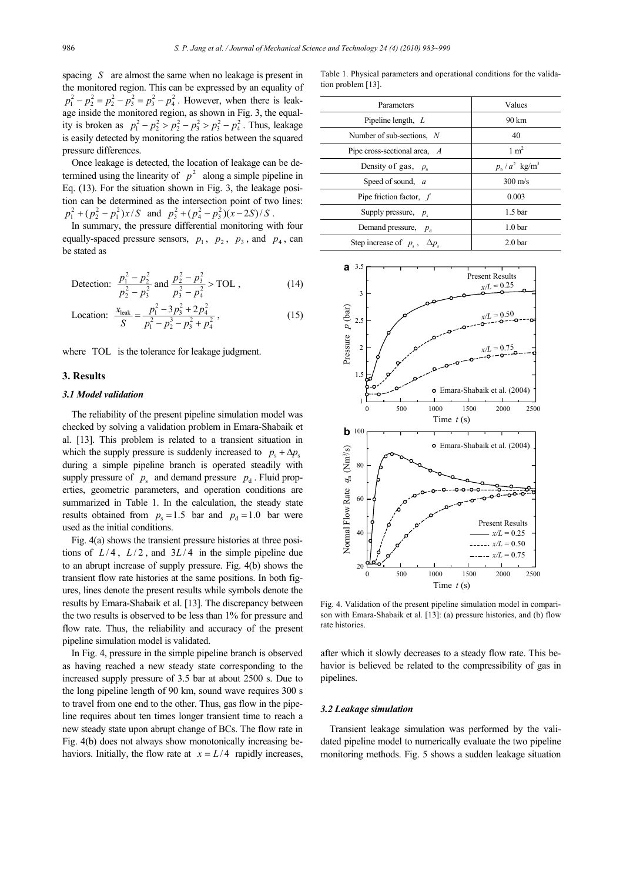spacing *S* are almost the same when no leakage is present in the monitored region. This can be expressed by an equality of  $p_1^2 - p_2^2 = p_2^2 - p_3^2 = p_3^2 - p_4^2$ . However, when there is leakage inside the monitored region, as shown in Fig. 3, the equality is broken as  $p_1^2 - p_2^2 > p_2^2 - p_3^2 > p_3^2 - p_4^2$ . Thus, leakage is easily detected by monitoring the ratios between the squared pressure differences.

Once leakage is detected, the location of leakage can be determined using the linearity of  $p^2$  along a simple pipeline in Eq. (13). For the situation shown in Fig. 3, the leakage position can be determined as the intersection point of two lines:  $p_1^2 + (p_2^2 - p_1^2)x/S$  and  $p_3^2 + (p_4^2 - p_3^2)(x - 2S)/S$ .

In summary, the pressure differential monitoring with four equally-spaced pressure sensors,  $p_1$ ,  $p_2$ ,  $p_3$ , and  $p_4$ , can be stated as

 Detection: 
$$
\frac{p_1^2 - p_2^2}{p_2^2 - p_3^2}
$$
 and 
$$
\frac{p_2^2 - p_3^2}{p_3^2 - p_4^2} > \text{TOL},
$$
\n(14)

Location: 
$$
\frac{x_{\text{leak}}}{S} = \frac{p_1^2 - 3p_3^2 + 2p_4^2}{p_1^2 - p_2^3 - p_3^2 + p_4^2},
$$
 (15)

where TOL is the tolerance for leakage judgment.

## **3. Results**

## *3.1 Model validation*

The reliability of the present pipeline simulation model was checked by solving a validation problem in Emara-Shabaik et al. [13]. This problem is related to a transient situation in which the supply pressure is suddenly increased to  $p_s + \Delta p_s$ during a simple pipeline branch is operated steadily with supply pressure of  $p_s$  and demand pressure  $p_d$ . Fluid properties, geometric parameters, and operation conditions are summarized in Table 1. In the calculation, the steady state results obtained from  $p_s = 1.5$  bar and  $p_d = 1.0$  bar were used as the initial conditions.

Fig. 4(a) shows the transient pressure histories at three positions of  $L/4$ ,  $L/2$ , and  $3L/4$  in the simple pipeline due to an abrupt increase of supply pressure. Fig. 4(b) shows the transient flow rate histories at the same positions. In both figures, lines denote the present results while symbols denote the results by Emara-Shabaik et al. [13]. The discrepancy between the two results is observed to be less than 1% for pressure and flow rate. Thus, the reliability and accuracy of the present pipeline simulation model is validated.

In Fig. 4, pressure in the simple pipeline branch is observed as having reached a new steady state corresponding to the increased supply pressure of 3.5 bar at about 2500 s. Due to the long pipeline length of 90 km, sound wave requires 300 s to travel from one end to the other. Thus, gas flow in the pipeline requires about ten times longer transient time to reach a new steady state upon abrupt change of BCs. The flow rate in Fig. 4(b) does not always show monotonically increasing behaviors. Initially, the flow rate at  $x = L/4$  rapidly increases,

Table 1. Physical parameters and operational conditions for the validation problem [13].

| Parameters                            | Values                      |
|---------------------------------------|-----------------------------|
| Pipeline length, $L$                  | 90 km                       |
| Number of sub-sections, $N$           | 40                          |
| Pipe cross-sectional area, $\Lambda$  | $1 \text{ m}^2$             |
| Density of gas, $\rho_n$              | $p_n/a^2$ kg/m <sup>3</sup> |
| Speed of sound, a                     | $300 \text{ m/s}$           |
| Pipe friction factor, $f$             | 0.003                       |
| Supply pressure, $p_s$                | 1.5 <sub>bar</sub>          |
| Demand pressure, $p_{d}$              | 1.0 <sub>bar</sub>          |
| Step increase of $p_s$ , $\Delta p_s$ | 2.0 <sub>bar</sub>          |



Fig. 4. Validation of the present pipeline simulation model in comparison with Emara-Shabaik et al. [13]: (a) pressure histories, and (b) flow rate histories.

after which it slowly decreases to a steady flow rate. This behavior is believed be related to the compressibility of gas in pipelines.

#### *3.2 Leakage simulation*

Transient leakage simulation was performed by the validated pipeline model to numerically evaluate the two pipeline monitoring methods. Fig. 5 shows a sudden leakage situation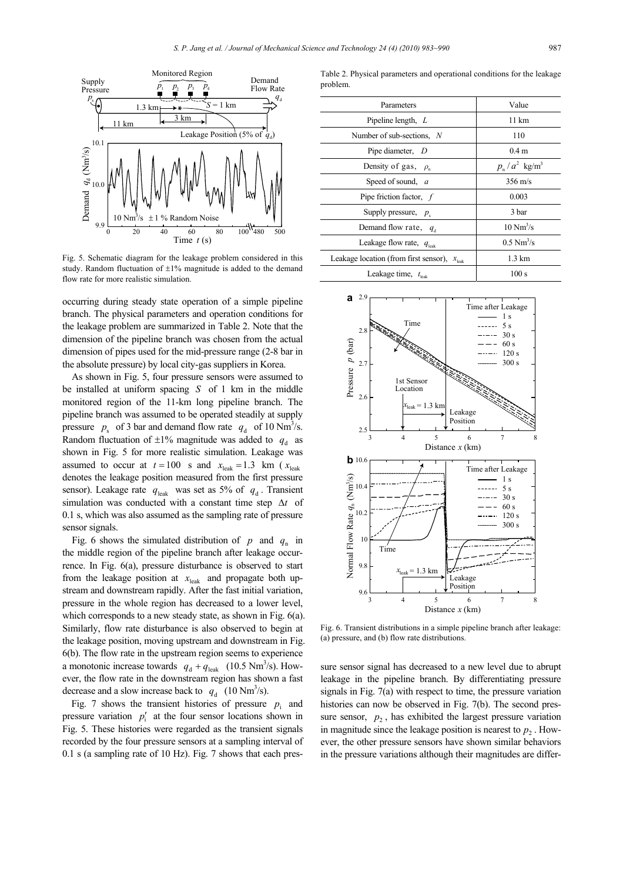

Fig. 5. Schematic diagram for the leakage problem considered in this study. Random fluctuation of ±1% magnitude is added to the demand flow rate for more realistic simulation.

occurring during steady state operation of a simple pipeline branch. The physical parameters and operation conditions for the leakage problem are summarized in Table 2. Note that the dimension of the pipeline branch was chosen from the actual dimension of pipes used for the mid-pressure range (2-8 bar in the absolute pressure) by local city-gas suppliers in Korea.

As shown in Fig. 5, four pressure sensors were assumed to be installed at uniform spacing *S* of 1 km in the middle monitored region of the 11-km long pipeline branch. The pipeline branch was assumed to be operated steadily at supply pressure  $p_s$  of 3 bar and demand flow rate  $q_d$  of 10 Nm<sup>3</sup>/s. Random fluctuation of  $\pm 1\%$  magnitude was added to  $q_d$  as shown in Fig. 5 for more realistic simulation. Leakage was assumed to occur at  $t = 100$  *s* and  $x_{\text{leak}} = 1.3$  km ( $x_{\text{leak}}$ denotes the leakage position measured from the first pressure sensor). Leakage rate  $q_{\text{leak}}$  was set as 5% of  $q_d$ . Transient simulation was conducted with a constant time step ∆*t* of 0.1 s, which was also assumed as the sampling rate of pressure sensor signals.

Fig. 6 shows the simulated distribution of  $p$  and  $q_n$  in the middle region of the pipeline branch after leakage occurrence. In Fig. 6(a), pressure disturbance is observed to start from the leakage position at  $x_{\text{leak}}$  and propagate both upstream and downstream rapidly. After the fast initial variation, pressure in the whole region has decreased to a lower level, which corresponds to a new steady state, as shown in Fig. 6(a). Similarly, flow rate disturbance is also observed to begin at the leakage position, moving upstream and downstream in Fig. 6(b). The flow rate in the upstream region seems to experience a monotonic increase towards  $q_d + q_{\text{leak}}$  (10.5 Nm<sup>3</sup>/s). However, the flow rate in the downstream region has shown a fast decrease and a slow increase back to  $q_d$  (10 Nm<sup>3</sup>/s).

Fig. 7 shows the transient histories of pressure  $p_i$  and pressure variation  $p'_i$  at the four sensor locations shown in Fig. 5. These histories were regarded as the transient signals recorded by the four pressure sensors at a sampling interval of 0.1 s (a sampling rate of 10 Hz). Fig. 7 shows that each pres-

Table 2. Physical parameters and operational conditions for the leakage problem.

| Parameters                                                                      | Value                       |
|---------------------------------------------------------------------------------|-----------------------------|
| Pipeline length, $L$                                                            | 11 km                       |
| Number of sub-sections, $N$                                                     | 110                         |
| Pipe diameter, D                                                                | 0.4 <sub>m</sub>            |
| Density of gas, $\rho_n$                                                        | $p_n/a^2$ kg/m <sup>3</sup> |
| Speed of sound, a                                                               | $356 \text{ m/s}$           |
| Pipe friction factor, $f$                                                       | 0.003                       |
| Supply pressure, $p_s$                                                          | 3 bar                       |
| Demand flow rate, $q_d$                                                         | $10 \text{ Nm}^3/\text{s}$  |
| Leakage flow rate, $q_{\text{leak}}$                                            | $0.5 \text{ Nm}^3/\text{s}$ |
| Leakage location (from first sensor),<br>$\ensuremath{\mathcal{X}}_\text{leak}$ | $1.3 \text{ km}$            |
| Leakage time, $t_{\text{leak}}$                                                 | 100 s                       |



Fig. 6. Transient distributions in a simple pipeline branch after leakage: (a) pressure, and (b) flow rate distributions.

sure sensor signal has decreased to a new level due to abrupt leakage in the pipeline branch. By differentiating pressure signals in Fig. 7(a) with respect to time, the pressure variation histories can now be observed in Fig. 7(b). The second pressure sensor,  $p_2$ , has exhibited the largest pressure variation in magnitude since the leakage position is nearest to  $p<sub>2</sub>$ . However, the other pressure sensors have shown similar behaviors in the pressure variations although their magnitudes are differ-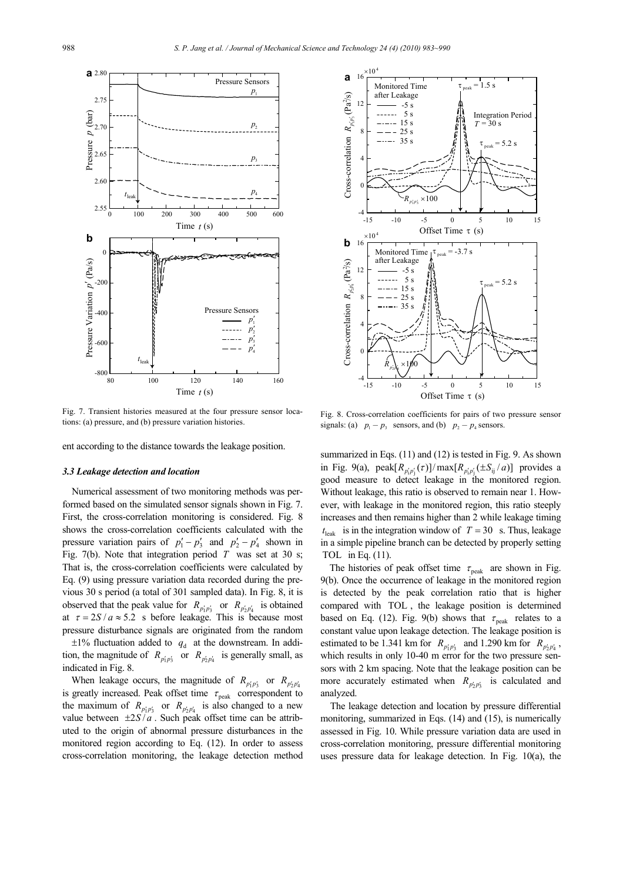

Fig. 7. Transient histories measured at the four pressure sensor locations: (a) pressure, and (b) pressure variation histories.

ent according to the distance towards the leakage position.

#### *3.3 Leakage detection and location*

Numerical assessment of two monitoring methods was performed based on the simulated sensor signals shown in Fig. 7. First, the cross-correlation monitoring is considered. Fig. 8 shows the cross-correlation coefficients calculated with the pressure variation pairs of  $p'_1 - p'_3$  and  $p'_2 - p'_4$  shown in Fig. 7(b). Note that integration period *T* was set at 30 s; That is, the cross-correlation coefficients were calculated by Eq. (9) using pressure variation data recorded during the previous 30 s period (a total of 301 sampled data). In Fig. 8, it is observed that the peak value for  $R_{p'_1 p'_3}$  or  $R_{p'_2 p'_4}$  is obtained at  $\tau = 2S / a \approx 5.2$  s before leakage. This is because most pressure disturbance signals are originated from the random

 $\pm 1\%$  fluctuation added to  $q_d$  at the downstream. In addition, the magnitude of  $R_{p'_1 p'_3}$  or  $R_{p'_2 p'_4}$  is generally small, as indicated in Fig. 8.

When leakage occurs, the magnitude of  $R_{p'_1 p'_3}$  or  $R_{p'_2 p'_4}$ is greatly increased. Peak offset time  $\tau_{\text{peak}}$  correspondent to the maximum of  $R_{p'_1 p'_3}$  or  $R_{p'_2 p'_4}$  is also changed to a new value between  $\pm 2S/a$ . Such peak offset time can be attributed to the origin of abnormal pressure disturbances in the monitored region according to Eq. (12). In order to assess cross-correlation monitoring, the leakage detection method



Fig. 8. Cross-correlation coefficients for pairs of two pressure sensor signals: (a)  $p_1 - p_3$  sensors, and (b)  $p_2 - p_4$  sensors.

summarized in Eqs. (11) and (12) is tested in Fig. 9. As shown in Fig. 9(a),  $\text{peak}[R_{p'_i p'_i}(\tau)] / \max[R_{p'_i p'_i}(\pm S_{ij}/a)]$  provides a good measure to detect leakage in the monitored region. Without leakage, this ratio is observed to remain near 1. However, with leakage in the monitored region, this ratio steeply increases and then remains higher than 2 while leakage timing  $t_{\text{leak}}$  is in the integration window of  $T = 30$  s. Thus, leakage in a simple pipeline branch can be detected by properly setting TOL in Eq. (11).

The histories of peak offset time  $\tau_{\text{peak}}$  are shown in Fig. 9(b). Once the occurrence of leakage in the monitored region is detected by the peak correlation ratio that is higher compared with TOL , the leakage position is determined based on Eq. (12). Fig. 9(b) shows that  $\tau_{peak}$  relates to a constant value upon leakage detection. The leakage position is estimated to be 1.341 km for  $R_{p'_1p'_3}$  and 1.290 km for  $R_{p'_2p'_4}$ , which results in only 10-40 m error for the two pressure sensors with 2 km spacing. Note that the leakage position can be more accurately estimated when  $R_{p'_2 p'_3}$  is calculated and analyzed.

The leakage detection and location by pressure differential monitoring, summarized in Eqs. (14) and (15), is numerically assessed in Fig. 10. While pressure variation data are used in cross-correlation monitoring, pressure differential monitoring uses pressure data for leakage detection. In Fig. 10(a), the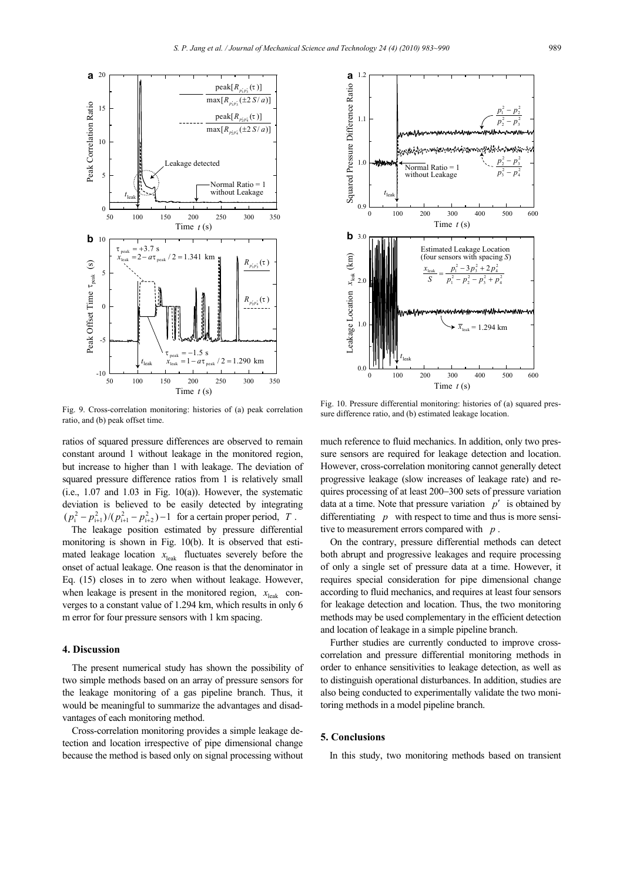

Fig. 9. Cross-correlation monitoring: histories of (a) peak correlation ratio, and (b) peak offset time.

ratios of squared pressure differences are observed to remain constant around 1 without leakage in the monitored region, but increase to higher than 1 with leakage. The deviation of squared pressure difference ratios from 1 is relatively small (i.e.,  $1.07$  and  $1.03$  in Fig.  $10(a)$ ). However, the systematic deviation is believed to be easily detected by integrating  $(p_i^2 - p_{i+1}^2)/(p_{i+1}^2 - p_{i+2}^2) - 1$  for a certain proper period, *T*.

The leakage position estimated by pressure differential monitoring is shown in Fig. 10(b). It is observed that estimated leakage location  $x<sub>leak</sub>$  fluctuates severely before the onset of actual leakage. One reason is that the denominator in Eq. (15) closes in to zero when without leakage. However, when leakage is present in the monitored region,  $x_{\text{leak}}$  converges to a constant value of 1.294 km, which results in only 6 m error for four pressure sensors with 1 km spacing.

### **4. Discussion**

The present numerical study has shown the possibility of two simple methods based on an array of pressure sensors for the leakage monitoring of a gas pipeline branch. Thus, it would be meaningful to summarize the advantages and disadvantages of each monitoring method.

Cross-correlation monitoring provides a simple leakage detection and location irrespective of pipe dimensional change because the method is based only on signal processing without



Fig. 10. Pressure differential monitoring: histories of (a) squared pressure difference ratio, and (b) estimated leakage location.

much reference to fluid mechanics. In addition, only two pressure sensors are required for leakage detection and location. However, cross-correlation monitoring cannot generally detect progressive leakage (slow increases of leakage rate) and requires processing of at least 200−300 sets of pressure variation data at a time. Note that pressure variation *p*′ is obtained by differentiating *p* with respect to time and thus is more sensitive to measurement errors compared with *p* .

On the contrary, pressure differential methods can detect both abrupt and progressive leakages and require processing of only a single set of pressure data at a time. However, it requires special consideration for pipe dimensional change according to fluid mechanics, and requires at least four sensors for leakage detection and location. Thus, the two monitoring methods may be used complementary in the efficient detection and location of leakage in a simple pipeline branch.

Further studies are currently conducted to improve crosscorrelation and pressure differential monitoring methods in order to enhance sensitivities to leakage detection, as well as to distinguish operational disturbances. In addition, studies are also being conducted to experimentally validate the two monitoring methods in a model pipeline branch.

## **5. Conclusions**

In this study, two monitoring methods based on transient